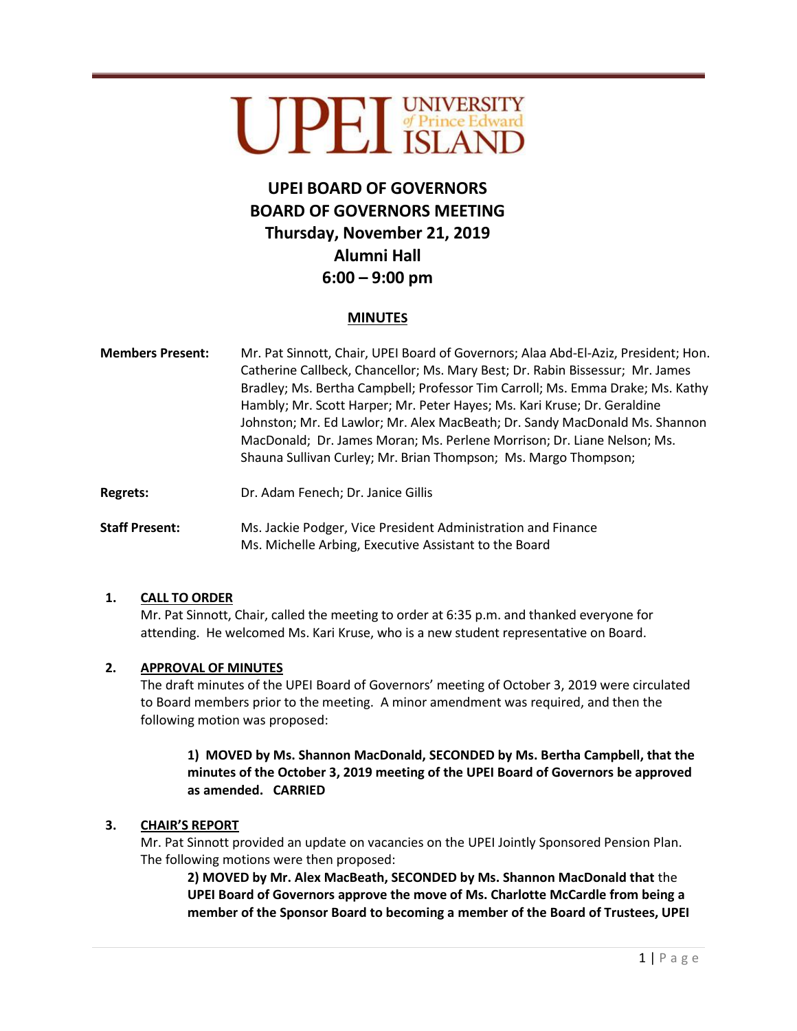# UPEL SINVERSITY

# **UPEI BOARD OF GOVERNORS BOARD OF GOVERNORS MEETING Thursday, November 21, 2019 Alumni Hall 6:00 – 9:00 pm**

# **MINUTES**

- **Members Present:** Mr. Pat Sinnott, Chair, UPEI Board of Governors; Alaa Abd-El-Aziz, President; Hon. Catherine Callbeck, Chancellor; Ms. Mary Best; Dr. Rabin Bissessur; Mr. James Bradley; Ms. Bertha Campbell; Professor Tim Carroll; Ms. Emma Drake; Ms. Kathy Hambly; Mr. Scott Harper; Mr. Peter Hayes; Ms. Kari Kruse; Dr. Geraldine Johnston; Mr. Ed Lawlor; Mr. Alex MacBeath; Dr. Sandy MacDonald Ms. Shannon MacDonald; Dr. James Moran; Ms. Perlene Morrison; Dr. Liane Nelson; Ms. Shauna Sullivan Curley; Mr. Brian Thompson; Ms. Margo Thompson;
- Regrets: **Dr. Adam Fenech; Dr. Janice Gillis**

**Staff Present:** Ms. Jackie Podger, Vice President Administration and Finance Ms. Michelle Arbing, Executive Assistant to the Board

# **1. CALL TO ORDER**

Mr. Pat Sinnott, Chair, called the meeting to order at 6:35 p.m. and thanked everyone for attending. He welcomed Ms. Kari Kruse, who is a new student representative on Board.

# **2. APPROVAL OF MINUTES**

The draft minutes of the UPEI Board of Governors' meeting of October 3, 2019 were circulated to Board members prior to the meeting. A minor amendment was required, and then the following motion was proposed:

**1) MOVED by Ms. Shannon MacDonald, SECONDED by Ms. Bertha Campbell, that the minutes of the October 3, 2019 meeting of the UPEI Board of Governors be approved as amended. CARRIED**

# **3. CHAIR'S REPORT**

Mr. Pat Sinnott provided an update on vacancies on the UPEI Jointly Sponsored Pension Plan. The following motions were then proposed:

**2) MOVED by Mr. Alex MacBeath, SECONDED by Ms. Shannon MacDonald that** the **UPEI Board of Governors approve the move of Ms. Charlotte McCardle from being a member of the Sponsor Board to becoming a member of the Board of Trustees, UPEI**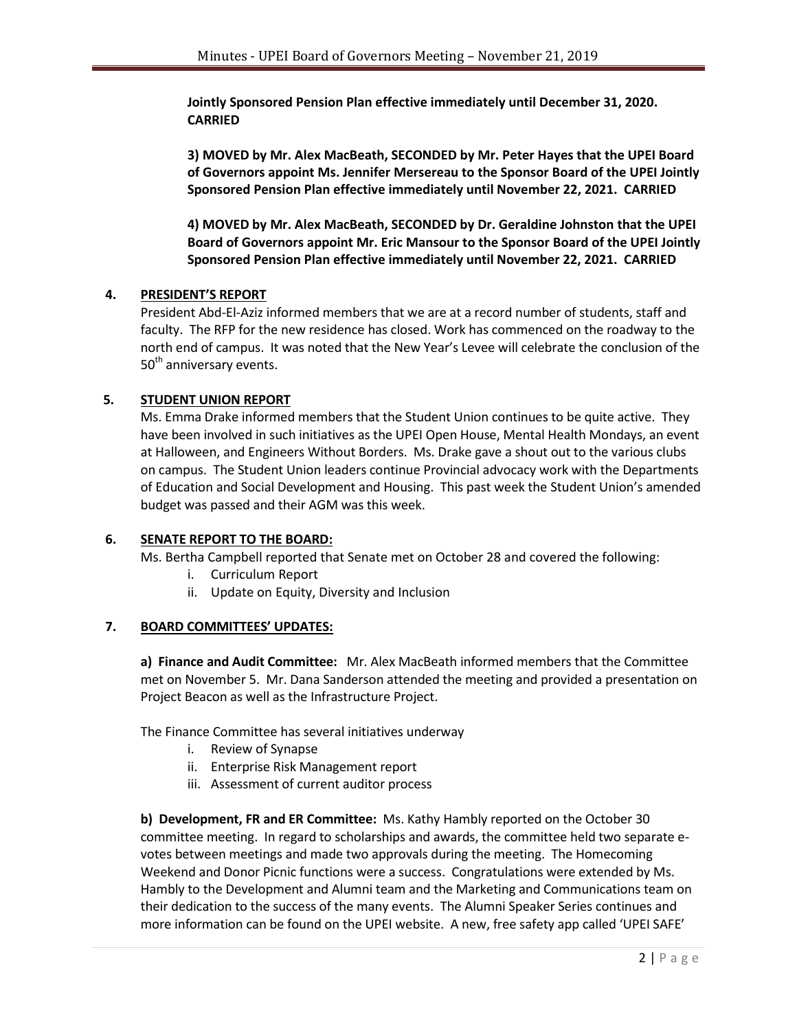**Jointly Sponsored Pension Plan effective immediately until December 31, 2020. CARRIED**

**3) MOVED by Mr. Alex MacBeath, SECONDED by Mr. Peter Hayes that the UPEI Board of Governors appoint Ms. Jennifer Mersereau to the Sponsor Board of the UPEI Jointly Sponsored Pension Plan effective immediately until November 22, 2021. CARRIED**

**4) MOVED by Mr. Alex MacBeath, SECONDED by Dr. Geraldine Johnston that the UPEI Board of Governors appoint Mr. Eric Mansour to the Sponsor Board of the UPEI Jointly Sponsored Pension Plan effective immediately until November 22, 2021. CARRIED**

# **4. PRESIDENT'S REPORT**

President Abd-El-Aziz informed members that we are at a record number of students, staff and faculty. The RFP for the new residence has closed. Work has commenced on the roadway to the north end of campus. It was noted that the New Year's Levee will celebrate the conclusion of the 50<sup>th</sup> anniversary events.

# **5. STUDENT UNION REPORT**

Ms. Emma Drake informed members that the Student Union continues to be quite active. They have been involved in such initiatives as the UPEI Open House, Mental Health Mondays, an event at Halloween, and Engineers Without Borders. Ms. Drake gave a shout out to the various clubs on campus. The Student Union leaders continue Provincial advocacy work with the Departments of Education and Social Development and Housing. This past week the Student Union's amended budget was passed and their AGM was this week.

# **6. SENATE REPORT TO THE BOARD:**

Ms. Bertha Campbell reported that Senate met on October 28 and covered the following:

- i. Curriculum Report
- ii. Update on Equity, Diversity and Inclusion

# **7. BOARD COMMITTEES' UPDATES:**

**a) Finance and Audit Committee:** Mr. Alex MacBeath informed members that the Committee met on November 5. Mr. Dana Sanderson attended the meeting and provided a presentation on Project Beacon as well as the Infrastructure Project.

The Finance Committee has several initiatives underway

- i. Review of Synapse
- ii. Enterprise Risk Management report
- iii. Assessment of current auditor process

**b) Development, FR and ER Committee:** Ms. Kathy Hambly reported on the October 30 committee meeting. In regard to scholarships and awards, the committee held two separate evotes between meetings and made two approvals during the meeting. The Homecoming Weekend and Donor Picnic functions were a success. Congratulations were extended by Ms. Hambly to the Development and Alumni team and the Marketing and Communications team on their dedication to the success of the many events. The Alumni Speaker Series continues and more information can be found on the UPEI website. A new, free safety app called 'UPEI SAFE'